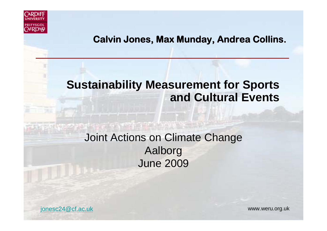

#### **Calvin Jones, Max Munday, Andrea Collins.**

#### **Sustainability Measurement for Sports and Cultural Events**

#### Joint Actions on Climate Change Aalborg June 2009

jonesc24@cf.ac.uk www.weru.org.uk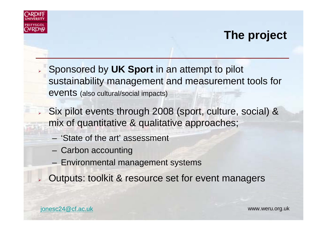

## **The project**

- Sponsored by **UK Sport** in an attempt to pilot sustainability management and measurement tools for events (also cultural/social impacts)
- Six pilot events through 2008 (sport, culture, social) & mix of quantitative & qualitative approaches;
	- 'State of the art' assessment
	- Carbon accounting
	- Environmental management systems
- ➤ Outputs: toolkit & resource set for event managers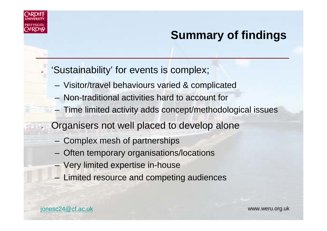

➤

≻

# **Summary of findings**

#### 'Sustainability' for events is complex;

- Visitor/travel behaviours varied & complicated
- Non-traditional activities hard to account for
- Time limited activity adds concept/methodological issues
- Organisers not well placed to develop alone
	- Complex mesh of partnerships
	- Often temporary organisations/locations
	- Very limited expertise in-house
	- Limited resource and competing audiences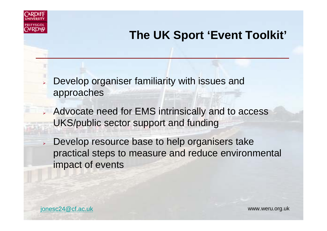

## **The UK Sport 'Event Toolkit'**

- ➤ Develop organiser familiarity with issues and approaches
- Advocate need for EMS intrinsically and to access UKS/public sector support and funding
- $\blacktriangleright$  Develop resource base to help organisers take practical steps to measure and reduce environmental impact of events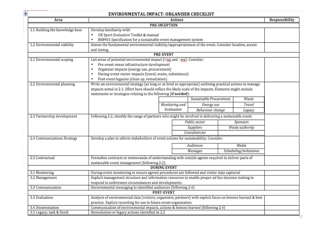$\ddot{\pm}$ 

#### **ENVIRONMENTAL IMPACT: ORGANISER CHECKLIST**

| <b>PRE-INCEPTION</b><br>1.1 Building the knowledge base<br>Develop familiarity with:<br>UK Sport Evaluative Toolkit & manual<br>٠<br>BS8901 Specification for a sustainable event management system<br>٠<br>Assess the fundamental environmental viability/appropriateness of the event. Consider location, access<br>1.2 Environmental viability<br>and timing.<br><b>PRE-EVENT</b><br>List areas of potential environmental impact (+iyg and -iyg). Consider:<br>2.1 Environmental scoping<br>Pre-event venue infrastructure development<br>٠<br>Organiser impacts (energy use, procurement)<br>٠<br>During-event visitor impacts (travel, waste, subsistence)<br>٠<br>Post-event legacies (clean up, remediation)<br>٠<br>Write an environmental strategy (as long or as brief as appropriate) outlining practical actions to manage<br>2.2 Environmental planning |               |
|-----------------------------------------------------------------------------------------------------------------------------------------------------------------------------------------------------------------------------------------------------------------------------------------------------------------------------------------------------------------------------------------------------------------------------------------------------------------------------------------------------------------------------------------------------------------------------------------------------------------------------------------------------------------------------------------------------------------------------------------------------------------------------------------------------------------------------------------------------------------------|---------------|
|                                                                                                                                                                                                                                                                                                                                                                                                                                                                                                                                                                                                                                                                                                                                                                                                                                                                       |               |
|                                                                                                                                                                                                                                                                                                                                                                                                                                                                                                                                                                                                                                                                                                                                                                                                                                                                       |               |
|                                                                                                                                                                                                                                                                                                                                                                                                                                                                                                                                                                                                                                                                                                                                                                                                                                                                       |               |
|                                                                                                                                                                                                                                                                                                                                                                                                                                                                                                                                                                                                                                                                                                                                                                                                                                                                       |               |
|                                                                                                                                                                                                                                                                                                                                                                                                                                                                                                                                                                                                                                                                                                                                                                                                                                                                       |               |
|                                                                                                                                                                                                                                                                                                                                                                                                                                                                                                                                                                                                                                                                                                                                                                                                                                                                       |               |
|                                                                                                                                                                                                                                                                                                                                                                                                                                                                                                                                                                                                                                                                                                                                                                                                                                                                       |               |
|                                                                                                                                                                                                                                                                                                                                                                                                                                                                                                                                                                                                                                                                                                                                                                                                                                                                       |               |
|                                                                                                                                                                                                                                                                                                                                                                                                                                                                                                                                                                                                                                                                                                                                                                                                                                                                       |               |
|                                                                                                                                                                                                                                                                                                                                                                                                                                                                                                                                                                                                                                                                                                                                                                                                                                                                       |               |
|                                                                                                                                                                                                                                                                                                                                                                                                                                                                                                                                                                                                                                                                                                                                                                                                                                                                       |               |
|                                                                                                                                                                                                                                                                                                                                                                                                                                                                                                                                                                                                                                                                                                                                                                                                                                                                       |               |
|                                                                                                                                                                                                                                                                                                                                                                                                                                                                                                                                                                                                                                                                                                                                                                                                                                                                       |               |
| impacts noted in 2.1. Effort here should reflect the likely scale of the impacts. Elements might include                                                                                                                                                                                                                                                                                                                                                                                                                                                                                                                                                                                                                                                                                                                                                              |               |
| statements or strategies relating to the following (if needed):                                                                                                                                                                                                                                                                                                                                                                                                                                                                                                                                                                                                                                                                                                                                                                                                       |               |
| Sustainable Procurement                                                                                                                                                                                                                                                                                                                                                                                                                                                                                                                                                                                                                                                                                                                                                                                                                                               | Waste         |
| Monitoring and<br><b>Energy</b> use                                                                                                                                                                                                                                                                                                                                                                                                                                                                                                                                                                                                                                                                                                                                                                                                                                   | <b>Travel</b> |
| Evaluation<br><b>Behaviour</b> change                                                                                                                                                                                                                                                                                                                                                                                                                                                                                                                                                                                                                                                                                                                                                                                                                                 | Legacy        |
| 2.3 Partnership development<br>Following 2.2, identify the range of partners who might be involved in delivering a sustainable event:                                                                                                                                                                                                                                                                                                                                                                                                                                                                                                                                                                                                                                                                                                                                 |               |
| <b>Public sector</b><br>Sponsors                                                                                                                                                                                                                                                                                                                                                                                                                                                                                                                                                                                                                                                                                                                                                                                                                                      |               |
| Waste authority<br>Suppliers                                                                                                                                                                                                                                                                                                                                                                                                                                                                                                                                                                                                                                                                                                                                                                                                                                          |               |
| Consultancies                                                                                                                                                                                                                                                                                                                                                                                                                                                                                                                                                                                                                                                                                                                                                                                                                                                         |               |
| Develop a plan to inform stakeholders of event actions for sustainability. Consider:<br>2.4 Communications Strategy                                                                                                                                                                                                                                                                                                                                                                                                                                                                                                                                                                                                                                                                                                                                                   |               |
|                                                                                                                                                                                                                                                                                                                                                                                                                                                                                                                                                                                                                                                                                                                                                                                                                                                                       |               |
| Audiences<br>Media                                                                                                                                                                                                                                                                                                                                                                                                                                                                                                                                                                                                                                                                                                                                                                                                                                                    |               |
| Scheduling/milestones<br>Messages                                                                                                                                                                                                                                                                                                                                                                                                                                                                                                                                                                                                                                                                                                                                                                                                                                     |               |
| 2.5 Contractual<br>Formalise contracts or memoranda of understanding with outside agents required to deliver parts of                                                                                                                                                                                                                                                                                                                                                                                                                                                                                                                                                                                                                                                                                                                                                 |               |
| sustainable event management (following 2.2).                                                                                                                                                                                                                                                                                                                                                                                                                                                                                                                                                                                                                                                                                                                                                                                                                         |               |
| <b>DURING EVENT</b>                                                                                                                                                                                                                                                                                                                                                                                                                                                                                                                                                                                                                                                                                                                                                                                                                                                   |               |
| During-event monitoring to ensure agreed procedures are followed and visitor data captured<br>3.1 Monitoring                                                                                                                                                                                                                                                                                                                                                                                                                                                                                                                                                                                                                                                                                                                                                          |               |
| Explicit management structure and information resources to enable proper ad hoc decision making to<br>3.2 Management                                                                                                                                                                                                                                                                                                                                                                                                                                                                                                                                                                                                                                                                                                                                                  |               |
| respond to unforeseen circumstances and developments.                                                                                                                                                                                                                                                                                                                                                                                                                                                                                                                                                                                                                                                                                                                                                                                                                 |               |
| Environmental messaging to identified audiences (following 2.4)<br>3.3 Communication                                                                                                                                                                                                                                                                                                                                                                                                                                                                                                                                                                                                                                                                                                                                                                                  |               |
| <b>POST-EVENT</b>                                                                                                                                                                                                                                                                                                                                                                                                                                                                                                                                                                                                                                                                                                                                                                                                                                                     |               |
| 3.3 Evaluation<br>Analysis of environmental data (visitors, organisers, partners) with explicit focus on lessons learned & best                                                                                                                                                                                                                                                                                                                                                                                                                                                                                                                                                                                                                                                                                                                                       |               |
| practice. Explicit recording for use in future event organisation.                                                                                                                                                                                                                                                                                                                                                                                                                                                                                                                                                                                                                                                                                                                                                                                                    |               |
| Communication of environmental impacts, actions & lessons learned (following 2.4)<br>3.4 Dissemination                                                                                                                                                                                                                                                                                                                                                                                                                                                                                                                                                                                                                                                                                                                                                                |               |
| Remediation or legacy actions identified in 2.2<br>3.5 Legacy; task & finish                                                                                                                                                                                                                                                                                                                                                                                                                                                                                                                                                                                                                                                                                                                                                                                          |               |